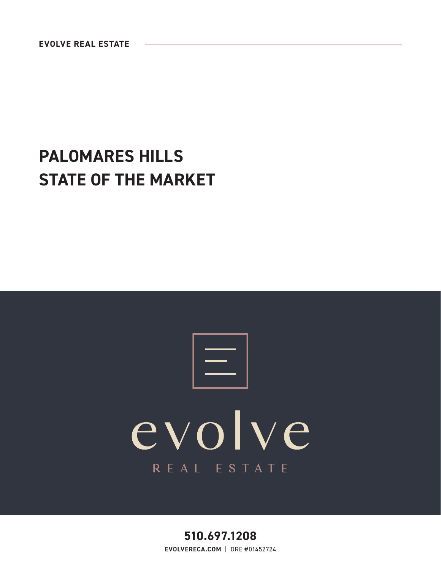## **PALOMARES HILLS STATE OF THE MARKET**

# evolve REAL ESTATE

**510.697.1208 EVOLVERECA.COM** | DRE #01452724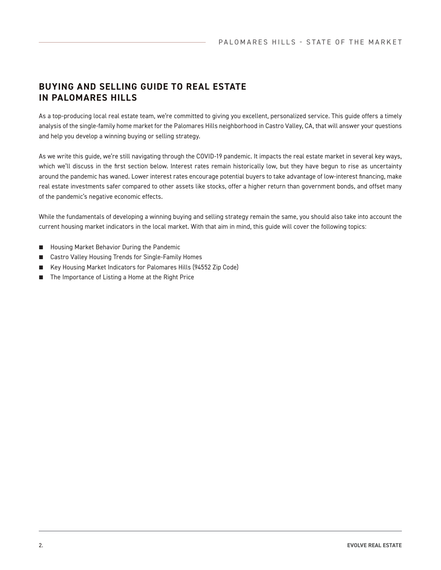### **BUYING AND SELLING GUIDE TO REAL ESTATE IN PALOMARES HILLS**

As a top-producing local real estate team, we're committed to giving you excellent, personalized service. This guide offers a timely analysis of the single-family home market for the Palomares Hills neighborhood in Castro Valley, CA, that will answer your questions and help you develop a winning buying or selling strategy.

As we write this guide, we're still navigating through the COVID-19 pandemic. It impacts the real estate market in several key ways, which we'll discuss in the first section below. Interest rates remain historically low, but they have begun to rise as uncertainty around the pandemic has waned. Lower interest rates encourage potential buyers to take advantage of low-interest financing, make real estate investments safer compared to other assets like stocks, offer a higher return than government bonds, and offset many of the pandemic's negative economic effects.

While the fundamentals of developing a winning buying and selling strategy remain the same, you should also take into account the current housing market indicators in the local market. With that aim in mind, this guide will cover the following topics:

- Housing Market Behavior During the Pandemic
- Castro Valley Housing Trends for Single-Family Homes
- Key Housing Market Indicators for Palomares Hills (94552 Zip Code)
- The Importance of Listing a Home at the Right Price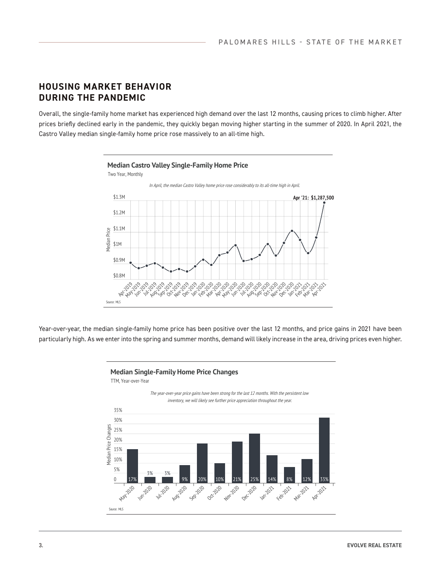#### **HOUSING MARKET BEHAVIOR DURING THE PANDEMIC**

Overall, the single-family home market has experienced high demand over the last 12 months, causing prices to climb higher. After prices briefly declined early in the pandemic, they quickly began moving higher starting in the summer of 2020. In April 2021, the Castro Valley median single-family home price rose massively to an all-time high.



Year-over-year, the median single-family home price has been positive over the last 12 months, and price gains in 2021 have been particularly high. As we enter into the spring and summer months, demand will likely increase in the area, driving prices even higher.



TTM, Year-over-Year

The year-over-year price gains have been strong for the last 12 months. With the persistent low inventory, we will likely see further price appreciation throughout the year.

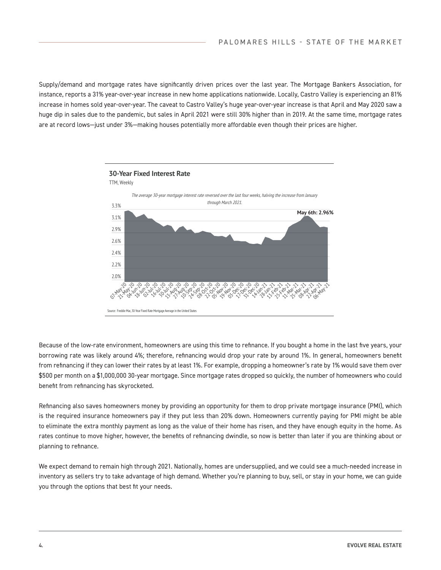Supply/demand and mortgage rates have significantly driven prices over the last year. The Mortgage Bankers Association, for instance, reports a 31% year-over-year increase in new home applications nationwide. Locally, Castro Valley is experiencing an 81% increase in homes sold year-over-year. The caveat to Castro Valley's huge year-over-year increase is that April and May 2020 saw a huge dip in sales due to the pandemic, but sales in April 2021 were still 30% higher than in 2019. At the same time, mortgage rates are at record lows—just under 3%—making houses potentially more affordable even though their prices are higher.



Because of the low-rate environment, homeowners are using this time to refinance. If you bought a home in the last five years, your borrowing rate was likely around 4%; therefore, refinancing would drop your rate by around 1%. In general, homeowners benefit from refinancing if they can lower their rates by at least 1%. For example, dropping a homeowner's rate by 1% would save them over \$500 per month on a \$1,000,000 30-year mortgage. Since mortgage rates dropped so quickly, the number of homeowners who could benefit from refinancing has skyrocketed.

Refinancing also saves homeowners money by providing an opportunity for them to drop private mortgage insurance (PMI), which is the required insurance homeowners pay if they put less than 20% down. Homeowners currently paying for PMI might be able to eliminate the extra monthly payment as long as the value of their home has risen, and they have enough equity in the home. As rates continue to move higher, however, the benefits of refinancing dwindle, so now is better than later if you are thinking about or planning to refinance.

We expect demand to remain high through 2021. Nationally, homes are undersupplied, and we could see a much-needed increase in inventory as sellers try to take advantage of high demand. Whether you're planning to buy, sell, or stay in your home, we can guide you through the options that best fit your needs.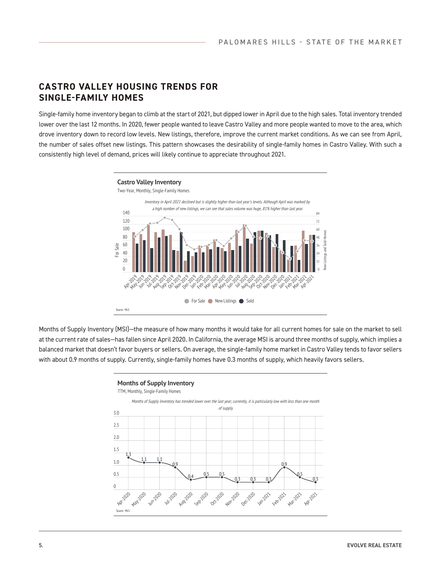#### **CASTRO VALLEY HOUSING TRENDS FOR SINGLE-FAMILY HOMES**

Single-family home inventory began to climb at the start of 2021, but dipped lower in April due to the high sales. Total inventory trended lower over the last 12 months. In 2020, fewer people wanted to leave Castro Valley and more people wanted to move to the area, which drove inventory down to record low levels. New listings, therefore, improve the current market conditions. As we can see from April, the number of sales offset new listings. This pattern showcases the desirability of single-family homes in Castro Valley. With such a consistently high level of demand, prices will likely continue to appreciate throughout 2021.



Months of Supply Inventory (MSI)—the measure of how many months it would take for all current homes for sale on the market to sell at the current rate of sales—has fallen since April 2020. In California, the average MSI is around three months of supply, which implies a balanced market that doesn't favor buyers or sellers. On average, the single-family home market in Castro Valley tends to favor sellers with about 0.9 months of supply. Currently, single-family homes have 0.3 months of supply, which heavily favors sellers.

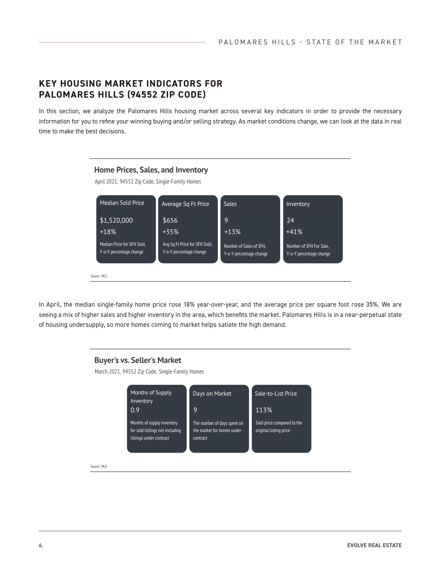#### **KEY HOUSING MARKET INDICATORS FOR PALOMARES HILLS (94552 ZIP CODE)**

In this section, we analyze the Palomares Hills housing market across several key indicators in order to provide the necessary information for you to refine your winning buying and/or selling strategy. As market conditions change, we can look at the data in real time to make the best decisions.



In April, the median single-family home price rose 18% year-over-year, and the average price per square foot rose 35%. We are seeing a mix of higher sales and higher inventory in the area, which benefits the market. Palomares Hills is in a near-perpetual state of housing undersupply, so more homes coming to market helps satiate the high demand.

#### **Buyer's vs. Seller's Market**

March 2021, 94552 Zip Code, Single-Family Homes



Source: MLS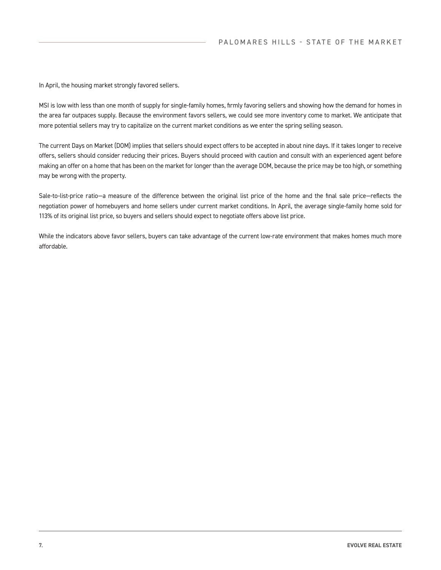In April, the housing market strongly favored sellers.

MSI is low with less than one month of supply for single-family homes, firmly favoring sellers and showing how the demand for homes in the area far outpaces supply. Because the environment favors sellers, we could see more inventory come to market. We anticipate that more potential sellers may try to capitalize on the current market conditions as we enter the spring selling season.

The current Days on Market (DOM) implies that sellers should expect offers to be accepted in about nine days. If it takes longer to receive offers, sellers should consider reducing their prices. Buyers should proceed with caution and consult with an experienced agent before making an offer on a home that has been on the market for longer than the average DOM, because the price may be too high, or something may be wrong with the property.

Sale-to-list-price ratio—a measure of the difference between the original list price of the home and the final sale price—reflects the negotiation power of homebuyers and home sellers under current market conditions. In April, the average single-family home sold for 113% of its original list price, so buyers and sellers should expect to negotiate offers above list price.

While the indicators above favor sellers, buyers can take advantage of the current low-rate environment that makes homes much more affordable.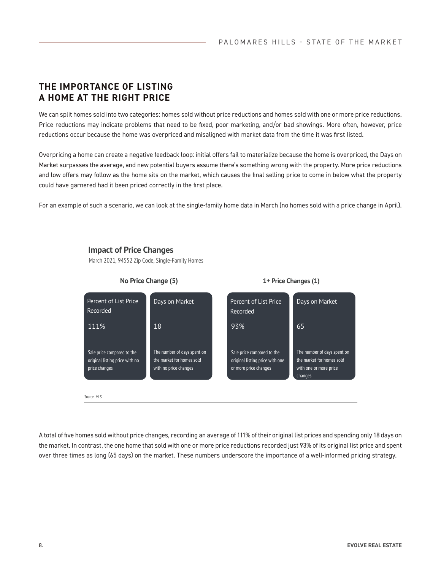### **THE IMPORTANCE OF LISTING A HOME AT THE RIGHT PRICE**

**Impact of Price Changes**

We can split homes sold into two categories: homes sold without price reductions and homes sold with one or more price reductions. Price reductions may indicate problems that need to be fixed, poor marketing, and/or bad showings. More often, however, price reductions occur because the home was overpriced and misaligned with market data from the time it was first listed.

Overpricing a home can create a negative feedback loop: initial offers fail to materialize because the home is overpriced, the Days on Market surpasses the average, and new potential buyers assume there's something wrong with the property. More price reductions and low offers may follow as the home sits on the market, which causes the final selling price to come in below what the property could have garnered had it been priced correctly in the first place.

For an example of such a scenario, we can look at the single-family home data in March (no homes sold with a price change in April).



A total of five homes sold without price changes, recording an average of 111% of their original list prices and spending only 18 days on the market. In contrast, the one home that sold with one or more price reductions recorded just 93% of its original list price and spent over three times as long (65 days) on the market. These numbers underscore the importance of a well-informed pricing strategy.